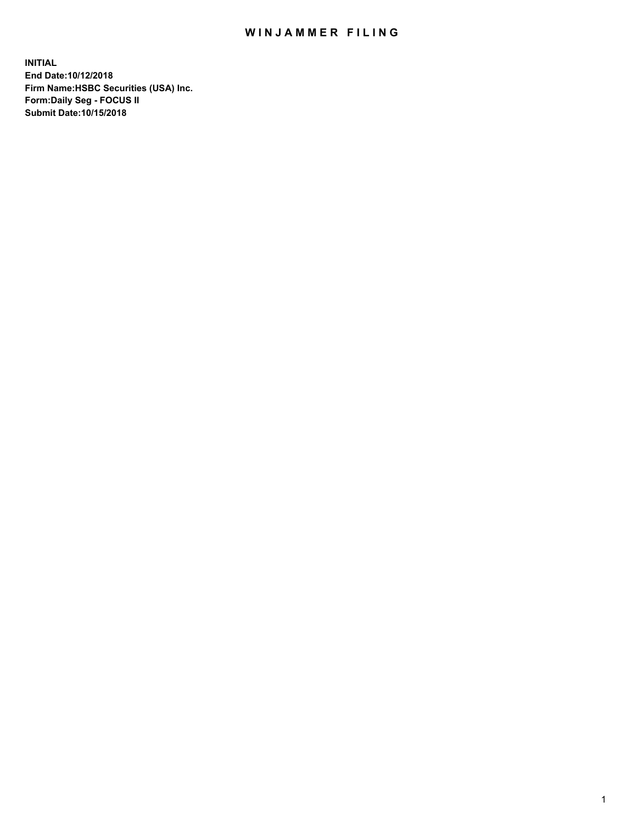## WIN JAMMER FILING

**INITIAL End Date:10/12/2018 Firm Name:HSBC Securities (USA) Inc. Form:Daily Seg - FOCUS II Submit Date:10/15/2018**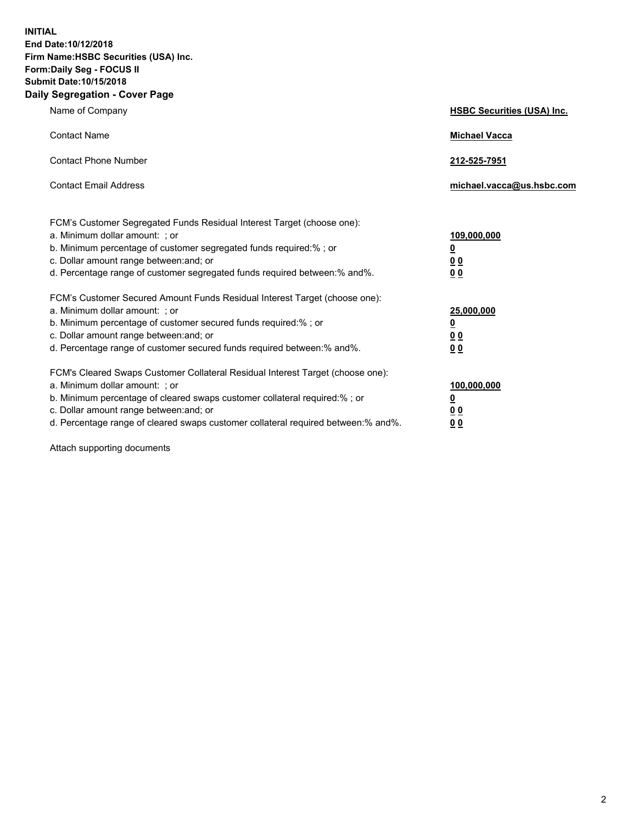**INITIAL End Date:10/12/2018 Firm Name:HSBC Securities (USA) Inc. Form:Daily Seg - FOCUS II Submit Date:10/15/2018 Daily Segregation - Cover Page**

| Name of Company                                                                                                                                                                                                                                                                                                                | <b>HSBC Securities (USA) Inc.</b>                    |
|--------------------------------------------------------------------------------------------------------------------------------------------------------------------------------------------------------------------------------------------------------------------------------------------------------------------------------|------------------------------------------------------|
| <b>Contact Name</b>                                                                                                                                                                                                                                                                                                            | <b>Michael Vacca</b>                                 |
| <b>Contact Phone Number</b>                                                                                                                                                                                                                                                                                                    | 212-525-7951                                         |
| <b>Contact Email Address</b>                                                                                                                                                                                                                                                                                                   | michael.vacca@us.hsbc.com                            |
| FCM's Customer Segregated Funds Residual Interest Target (choose one):<br>a. Minimum dollar amount: ; or<br>b. Minimum percentage of customer segregated funds required:% ; or<br>c. Dollar amount range between: and; or<br>d. Percentage range of customer segregated funds required between:% and%.                         | 109,000,000<br>₫<br>0 <sub>0</sub><br>0 <sub>0</sub> |
| FCM's Customer Secured Amount Funds Residual Interest Target (choose one):<br>a. Minimum dollar amount: ; or<br>b. Minimum percentage of customer secured funds required:%; or<br>c. Dollar amount range between: and; or<br>d. Percentage range of customer secured funds required between:% and%.                            | 25,000,000<br><u>0</u><br>0 <sub>0</sub><br>00       |
| FCM's Cleared Swaps Customer Collateral Residual Interest Target (choose one):<br>a. Minimum dollar amount: ; or<br>b. Minimum percentage of cleared swaps customer collateral required:% ; or<br>c. Dollar amount range between: and; or<br>d. Percentage range of cleared swaps customer collateral required between:% and%. | 100,000,000<br><u>0</u><br><u>00</u><br>00           |

Attach supporting documents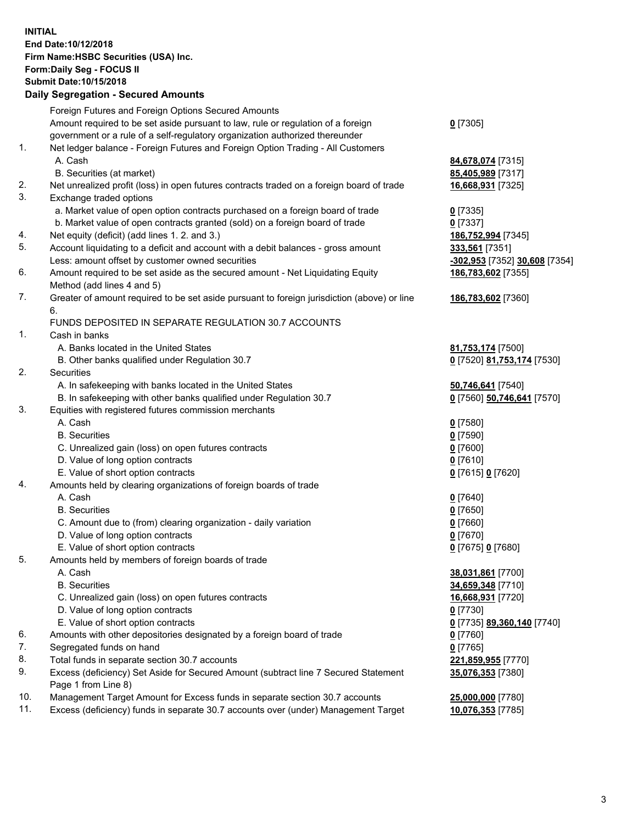**INITIAL End Date:10/12/2018 Firm Name:HSBC Securities (USA) Inc. Form:Daily Seg - FOCUS II Submit Date:10/15/2018 Daily Segregation - Secured Amounts** Foreign Futures and Foreign Options Secured Amounts Amount required to be set aside pursuant to law, rule or regulation of a foreign government or a rule of a self-regulatory organization authorized thereunder **0** [7305] 1. Net ledger balance - Foreign Futures and Foreign Option Trading - All Customers A. Cash **84,678,074** [7315] B. Securities (at market) **85,405,989** [7317] 2. Net unrealized profit (loss) in open futures contracts traded on a foreign board of trade **16,668,931** [7325] 3. Exchange traded options a. Market value of open option contracts purchased on a foreign board of trade **0** [7335] b. Market value of open contracts granted (sold) on a foreign board of trade **0** [7337] 4. Net equity (deficit) (add lines 1. 2. and 3.) **186,752,994** [7345] 5. Account liquidating to a deficit and account with a debit balances - gross amount **333,561** [7351] Less: amount offset by customer owned securities **-302,953** [7352] **30,608** [7354] 6. Amount required to be set aside as the secured amount - Net Liquidating Equity Method (add lines 4 and 5) **186,783,602** [7355] 7. Greater of amount required to be set aside pursuant to foreign jurisdiction (above) or line 6. **186,783,602** [7360] FUNDS DEPOSITED IN SEPARATE REGULATION 30.7 ACCOUNTS 1. Cash in banks A. Banks located in the United States **81,753,174** [7500] B. Other banks qualified under Regulation 30.7 **0** [7520] **81,753,174** [7530] 2. Securities A. In safekeeping with banks located in the United States **50,746,641** [7540] B. In safekeeping with other banks qualified under Regulation 30.7 **0** [7560] **50,746,641** [7570] 3. Equities with registered futures commission merchants A. Cash **0** [7580] B. Securities **0** [7590] C. Unrealized gain (loss) on open futures contracts **0** [7600] D. Value of long option contracts **0** [7610] E. Value of short option contracts **0** [7615] **0** [7620] 4. Amounts held by clearing organizations of foreign boards of trade A. Cash **0** [7640] B. Securities **0** [7650] C. Amount due to (from) clearing organization - daily variation **0** [7660] D. Value of long option contracts **0** [7670] E. Value of short option contracts **0** [7675] **0** [7680] 5. Amounts held by members of foreign boards of trade A. Cash **38,031,861** [7700] B. Securities **34,659,348** [7710] C. Unrealized gain (loss) on open futures contracts **16,668,931** [7720] D. Value of long option contracts **0** [7730] E. Value of short option contracts **0** [7735] **89,360,140** [7740] 6. Amounts with other depositories designated by a foreign board of trade **0** [7760] 7. Segregated funds on hand **0** [7765] 8. Total funds in separate section 30.7 accounts **221,859,955** [7770] 9. Excess (deficiency) Set Aside for Secured Amount (subtract line 7 Secured Statement Page 1 from Line 8) **35,076,353** [7380]

10. Management Target Amount for Excess funds in separate section 30.7 accounts **25,000,000** [7780]

11. Excess (deficiency) funds in separate 30.7 accounts over (under) Management Target **10,076,353** [7785]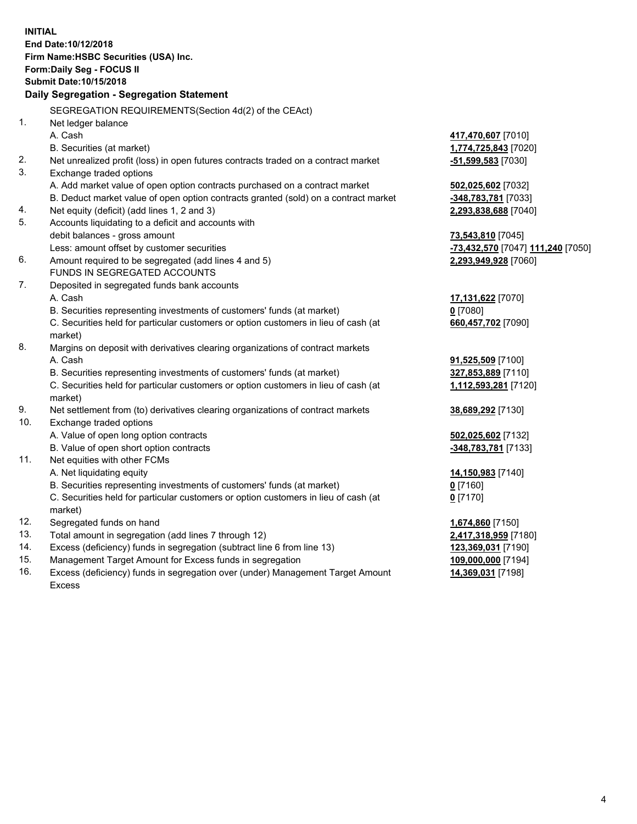**INITIAL End Date:10/12/2018 Firm Name:HSBC Securities (USA) Inc. Form:Daily Seg - FOCUS II Submit Date:10/15/2018 Daily Segregation - Segregation Statement** SEGREGATION REQUIREMENTS(Section 4d(2) of the CEAct) 1. Net ledger balance A. Cash **417,470,607** [7010] B. Securities (at market) **1,774,725,843** [7020] 2. Net unrealized profit (loss) in open futures contracts traded on a contract market **-51,599,583** [7030] 3. Exchange traded options A. Add market value of open option contracts purchased on a contract market **502,025,602** [7032] B. Deduct market value of open option contracts granted (sold) on a contract market **-348,783,781** [7033] 4. Net equity (deficit) (add lines 1, 2 and 3) **2,293,838,688** [7040] 5. Accounts liquidating to a deficit and accounts with debit balances - gross amount **73,543,810** [7045] Less: amount offset by customer securities **-73,432,570** [7047] **111,240** [7050] 6. Amount required to be segregated (add lines 4 and 5) **2,293,949,928** [7060] FUNDS IN SEGREGATED ACCOUNTS 7. Deposited in segregated funds bank accounts A. Cash **17,131,622** [7070] B. Securities representing investments of customers' funds (at market) **0** [7080] C. Securities held for particular customers or option customers in lieu of cash (at market) **660,457,702** [7090] 8. Margins on deposit with derivatives clearing organizations of contract markets A. Cash **91,525,509** [7100] B. Securities representing investments of customers' funds (at market) **327,853,889** [7110] C. Securities held for particular customers or option customers in lieu of cash (at market) **1,112,593,281** [7120] 9. Net settlement from (to) derivatives clearing organizations of contract markets **38,689,292** [7130] 10. Exchange traded options A. Value of open long option contracts **502,025,602** [7132] B. Value of open short option contracts **-348,783,781** [7133] 11. Net equities with other FCMs A. Net liquidating equity **14,150,983** [7140] B. Securities representing investments of customers' funds (at market) **0** [7160] C. Securities held for particular customers or option customers in lieu of cash (at market) **0** [7170] 12. Segregated funds on hand **1,674,860** [7150] 13. Total amount in segregation (add lines 7 through 12) **2,417,318,959** [7180] 14. Excess (deficiency) funds in segregation (subtract line 6 from line 13) **123,369,031** [7190] 15. Management Target Amount for Excess funds in segregation **109,000,000** [7194] 16. Excess (deficiency) funds in segregation over (under) Management Target Amount **14,369,031** [7198]

Excess